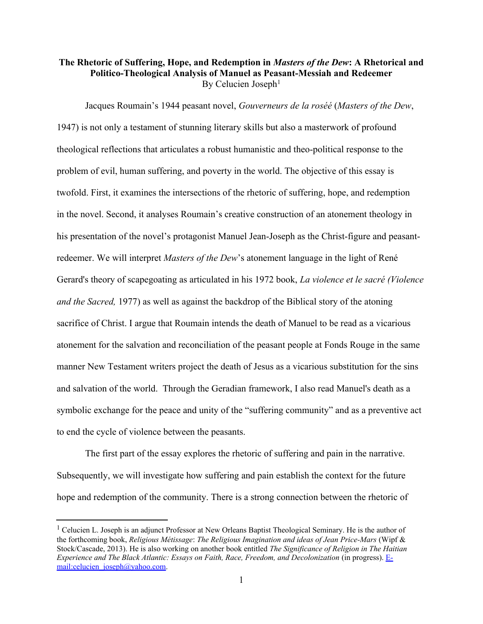## **The Rhetoric of Suffering, Hope, and Redemption in** *Masters of the Dew***: A Rhetorical and Politico-Theological Analysis of Manuel as Peasant-Messiah and Redeemer**  By Celucien Joseph<sup>1</sup>

Jacques Roumain's 1944 peasant novel, *Gouverneurs de la roséé* (*Masters of the Dew*, 1947) is not only a testament of stunning literary skills but also a masterwork of profound theological reflections that articulates a robust humanistic and theo-political response to the problem of evil, human suffering, and poverty in the world. The objective of this essay is twofold. First, it examines the intersections of the rhetoric of suffering, hope, and redemption in the novel. Second, it analyses Roumain's creative construction of an atonement theology in his presentation of the novel's protagonist Manuel Jean-Joseph as the Christ-figure and peasantredeemer. We will interpret *Masters of the Dew*'s atonement language in the light of René Gerard's theory of scapegoating as articulated in his 1972 book, *La violence et le sacré (Violence and the Sacred,* 1977) as well as against the backdrop of the Biblical story of the atoning sacrifice of Christ. I argue that Roumain intends the death of Manuel to be read as a vicarious atonement for the salvation and reconciliation of the peasant people at Fonds Rouge in the same manner New Testament writers project the death of Jesus as a vicarious substitution for the sins and salvation of the world. Through the Geradian framework, I also read Manuel's death as a symbolic exchange for the peace and unity of the "suffering community" and as a preventive act to end the cycle of violence between the peasants.

The first part of the essay explores the rhetoric of suffering and pain in the narrative. Subsequently, we will investigate how suffering and pain establish the context for the future hope and redemption of the community. There is a strong connection between the rhetoric of

<sup>&</sup>lt;sup>1</sup> Celucien L. Joseph is an adjunct Professor at New Orleans Baptist Theological Seminary. He is the author of the forthcoming book, *Religious Métissage*: *The Religious Imagination and ideas of Jean Price-Mars* (Wipf & Stock/Cascade, 2013). He is also working on another book entitled *The Significance of Religion in The Haitian Experience and The Black Atlantic: Essays on Faith, Race, Freedom, and Decolonization (in progress).* Email:celucien\_joseph@yahoo.com.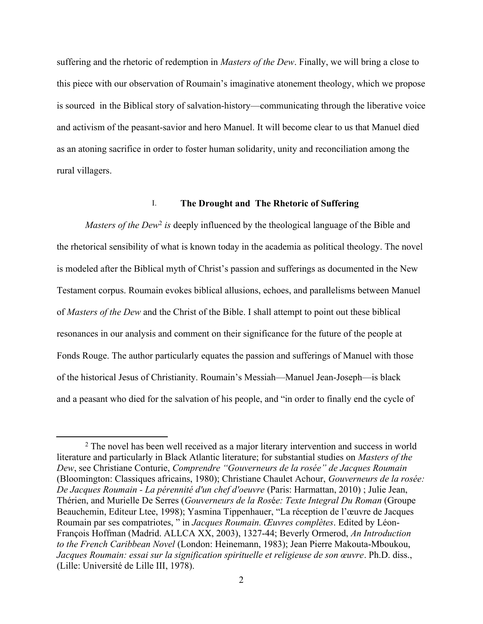suffering and the rhetoric of redemption in *Masters of the Dew*. Finally, we will bring a close to this piece with our observation of Roumain's imaginative atonement theology, which we propose is sourced in the Biblical story of salvation-history—communicating through the liberative voice and activism of the peasant-savior and hero Manuel. It will become clear to us that Manuel died as an atoning sacrifice in order to foster human solidarity, unity and reconciliation among the rural villagers.

## I. **The Drought and The Rhetoric of Suffering**

*Masters of the Dew*<sup>2</sup> *is* deeply influenced by the theological language of the Bible and the rhetorical sensibility of what is known today in the academia as political theology. The novel is modeled after the Biblical myth of Christ's passion and sufferings as documented in the New Testament corpus. Roumain evokes biblical allusions, echoes, and parallelisms between Manuel of *Masters of the Dew* and the Christ of the Bible. I shall attempt to point out these biblical resonances in our analysis and comment on their significance for the future of the people at Fonds Rouge. The author particularly equates the passion and sufferings of Manuel with those of the historical Jesus of Christianity. Roumain's Messiah—Manuel Jean-Joseph—is black and a peasant who died for the salvation of his people, and "in order to finally end the cycle of

<sup>2</sup> The novel has been well received as a major literary intervention and success in world literature and particularly in Black Atlantic literature; for substantial studies on *Masters of the Dew*, see Christiane Conturie, *Comprendre "Gouverneurs de la rosée" de Jacques Roumain* (Bloomington: Classiques africains, 1980); Christiane Chaulet Achour, *Gouverneurs de la rosée: De Jacques Roumain - La pérennité d'un chef d'oeuvre* (Paris: Harmattan, 2010) ; Julie Jean, Thérien, and Murielle De Serres (*Gouverneurs de la Ros*é*e: Texte Integral Du Roman* (Groupe Beauchemin, Editeur Ltee, 1998); Yasmina Tippenhauer, "La réception de l'œuvre de Jacques Roumain par ses compatriotes, " in *Jacques Roumain. Œuvres complètes*. Edited by Léon-François Hoffman (Madrid. ALLCA XX, 2003), 1327-44; Beverly Ormerod, *An Introduction to the French Caribbean Novel* (London: Heinemann, 1983); Jean Pierre Makouta-Mboukou, *Jacques Roumain: essai sur la signification spirituelle et religieuse de son œuvre*. Ph.D. diss., (Lille: Université de Lille III, 1978).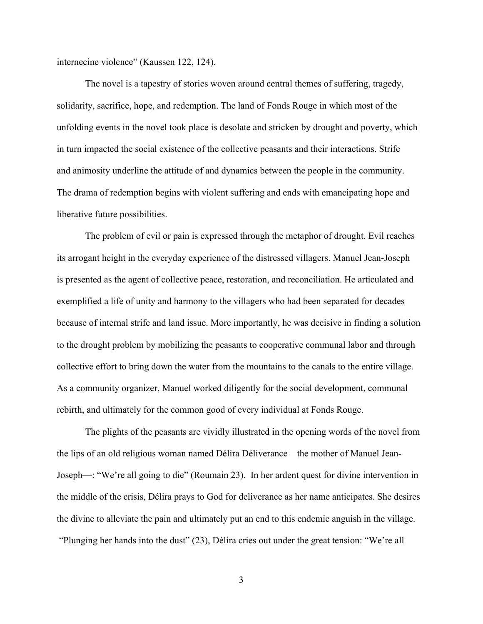internecine violence" (Kaussen 122, 124).

The novel is a tapestry of stories woven around central themes of suffering, tragedy, solidarity, sacrifice, hope, and redemption. The land of Fonds Rouge in which most of the unfolding events in the novel took place is desolate and stricken by drought and poverty, which in turn impacted the social existence of the collective peasants and their interactions. Strife and animosity underline the attitude of and dynamics between the people in the community. The drama of redemption begins with violent suffering and ends with emancipating hope and liberative future possibilities.

The problem of evil or pain is expressed through the metaphor of drought. Evil reaches its arrogant height in the everyday experience of the distressed villagers. Manuel Jean-Joseph is presented as the agent of collective peace, restoration, and reconciliation. He articulated and exemplified a life of unity and harmony to the villagers who had been separated for decades because of internal strife and land issue. More importantly, he was decisive in finding a solution to the drought problem by mobilizing the peasants to cooperative communal labor and through collective effort to bring down the water from the mountains to the canals to the entire village. As a community organizer, Manuel worked diligently for the social development, communal rebirth, and ultimately for the common good of every individual at Fonds Rouge.

The plights of the peasants are vividly illustrated in the opening words of the novel from the lips of an old religious woman named Délira Déliverance—the mother of Manuel Jean-Joseph—: "We're all going to die" (Roumain 23). In her ardent quest for divine intervention in the middle of the crisis, Délira prays to God for deliverance as her name anticipates. She desires the divine to alleviate the pain and ultimately put an end to this endemic anguish in the village. "Plunging her hands into the dust" (23), Délira cries out under the great tension: "We're all

3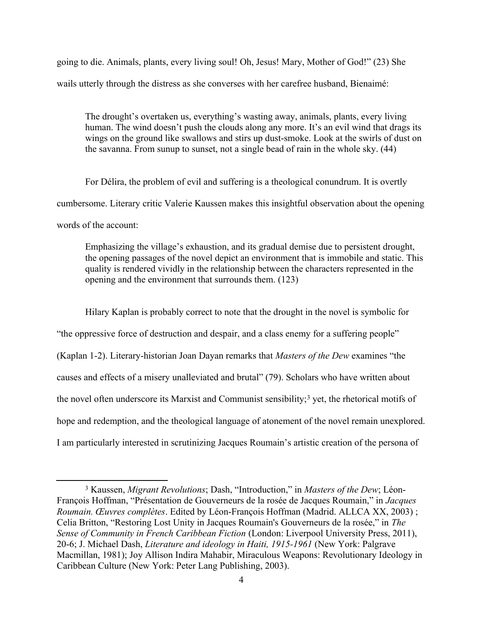going to die. Animals, plants, every living soul! Oh, Jesus! Mary, Mother of God!" (23) She wails utterly through the distress as she converses with her carefree husband, Bienaimé:

The drought's overtaken us, everything's wasting away, animals, plants, every living human. The wind doesn't push the clouds along any more. It's an evil wind that drags its wings on the ground like swallows and stirs up dust-smoke. Look at the swirls of dust on the savanna. From sunup to sunset, not a single bead of rain in the whole sky. (44)

For Délira, the problem of evil and suffering is a theological conundrum. It is overtly cumbersome. Literary critic Valerie Kaussen makes this insightful observation about the opening words of the account:

Emphasizing the village's exhaustion, and its gradual demise due to persistent drought, the opening passages of the novel depict an environment that is immobile and static. This quality is rendered vividly in the relationship between the characters represented in the opening and the environment that surrounds them. (123)

Hilary Kaplan is probably correct to note that the drought in the novel is symbolic for "the oppressive force of destruction and despair, and a class enemy for a suffering people" (Kaplan 1-2). Literary-historian Joan Dayan remarks that *Masters of the Dew* examines "the causes and effects of a misery unalleviated and brutal" (79). Scholars who have written about the novel often underscore its Marxist and Communist sensibility;<sup>3</sup> yet, the rhetorical motifs of hope and redemption, and the theological language of atonement of the novel remain unexplored. I am particularly interested in scrutinizing Jacques Roumain's artistic creation of the persona of

<sup>3</sup> Kaussen, *Migrant Revolutions*; Dash, "Introduction," in *Masters of the Dew*; Léon-François Hoffman, "Présentation de Gouverneurs de la rosée de Jacques Roumain," in *Jacques Roumain. Œuvres complètes*. Edited by Léon-François Hoffman (Madrid. ALLCA XX, 2003) ; Celia Britton, "Restoring Lost Unity in Jacques Roumain's Gouverneurs de la rosée," in *The Sense of Community in French Caribbean Fiction* (London: Liverpool University Press, 2011), 20-6; J. Michael Dash, *Literature and ideology in Haiti, 1915-1961* (New York: Palgrave Macmillan, 1981); Joy Allison Indira Mahabir, Miraculous Weapons: Revolutionary Ideology in Caribbean Culture (New York: Peter Lang Publishing, 2003).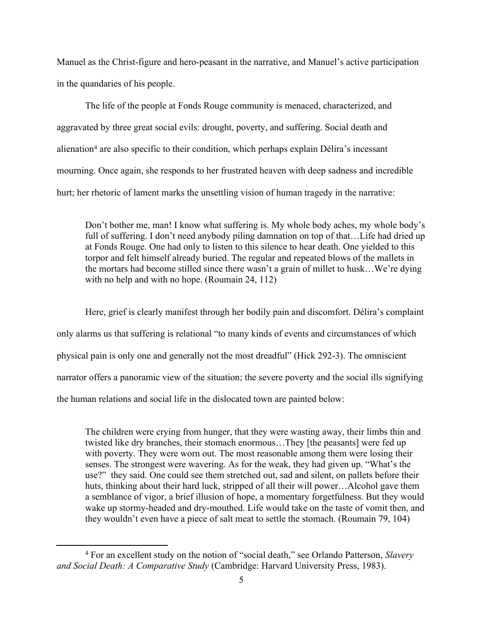Manuel as the Christ-figure and hero-peasant in the narrative, and Manuel's active participation in the quandaries of his people.

The life of the people at Fonds Rouge community is menaced, characterized, and aggravated by three great social evils: drought, poverty, and suffering. Social death and alienation<sup>4</sup> are also specific to their condition, which perhaps explain Délira's incessant mourning. Once again, she responds to her frustrated heaven with deep sadness and incredible hurt; her rhetoric of lament marks the unsettling vision of human tragedy in the narrative:

Don't bother me, man! I know what suffering is. My whole body aches, my whole body's full of suffering. I don't need anybody piling damnation on top of that...Life had dried up at Fonds Rouge. One had only to listen to this silence to hear death. One yielded to this torpor and felt himself already buried. The regular and repeated blows of the mallets in the mortars had become stilled since there wasn't a grain of millet to husk…We're dying with no help and with no hope. (Roumain 24, 112)

Here, grief is clearly manifest through her bodily pain and discomfort. Délira's complaint only alarms us that suffering is relational "to many kinds of events and circumstances of which physical pain is only one and generally not the most dreadful" (Hick 292-3). The omniscient narrator offers a panoramic view of the situation; the severe poverty and the social ills signifying the human relations and social life in the dislocated town are painted below:

The children were crying from hunger, that they were wasting away, their limbs thin and twisted like dry branches, their stomach enormous…They [the peasants] were fed up with poverty. They were worn out. The most reasonable among them were losing their senses. The strongest were wavering. As for the weak, they had given up. "What's the use?" they said. One could see them stretched out, sad and silent, on pallets before their huts, thinking about their hard luck, stripped of all their will power…Alcohol gave them a semblance of vigor, a brief illusion of hope, a momentary forgetfulness. But they would wake up stormy-headed and dry-mouthed. Life would take on the taste of vomit then, and they wouldn't even have a piece of salt meat to settle the stomach. (Roumain 79, 104)

<sup>4</sup> For an excellent study on the notion of "social death," see Orlando Patterson, *Slavery and Social Death: A Comparative Study* (Cambridge: Harvard University Press, 1983).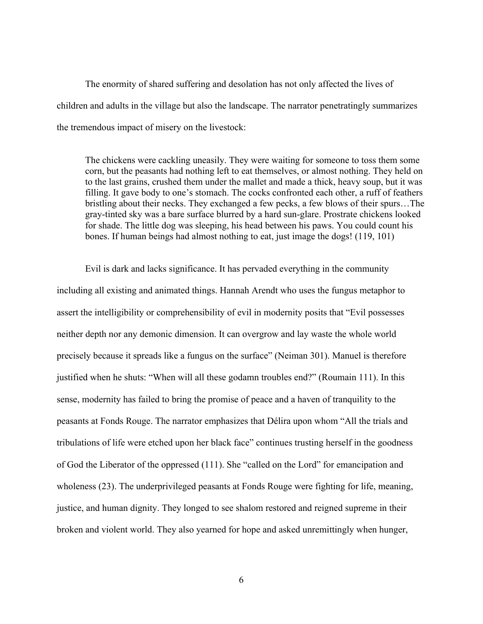The enormity of shared suffering and desolation has not only affected the lives of children and adults in the village but also the landscape. The narrator penetratingly summarizes the tremendous impact of misery on the livestock:

The chickens were cackling uneasily. They were waiting for someone to toss them some corn, but the peasants had nothing left to eat themselves, or almost nothing. They held on to the last grains, crushed them under the mallet and made a thick, heavy soup, but it was filling. It gave body to one's stomach. The cocks confronted each other, a ruff of feathers bristling about their necks. They exchanged a few pecks, a few blows of their spurs…The gray-tinted sky was a bare surface blurred by a hard sun-glare. Prostrate chickens looked for shade. The little dog was sleeping, his head between his paws. You could count his bones. If human beings had almost nothing to eat, just image the dogs! (119, 101)

Evil is dark and lacks significance. It has pervaded everything in the community including all existing and animated things. Hannah Arendt who uses the fungus metaphor to assert the intelligibility or comprehensibility of evil in modernity posits that "Evil possesses neither depth nor any demonic dimension. It can overgrow and lay waste the whole world precisely because it spreads like a fungus on the surface" (Neiman 301). Manuel is therefore justified when he shuts: "When will all these godamn troubles end?" (Roumain 111). In this sense, modernity has failed to bring the promise of peace and a haven of tranquility to the peasants at Fonds Rouge. The narrator emphasizes that Délira upon whom "All the trials and tribulations of life were etched upon her black face" continues trusting herself in the goodness of God the Liberator of the oppressed (111). She "called on the Lord" for emancipation and wholeness (23). The underprivileged peasants at Fonds Rouge were fighting for life, meaning, justice, and human dignity. They longed to see shalom restored and reigned supreme in their broken and violent world. They also yearned for hope and asked unremittingly when hunger,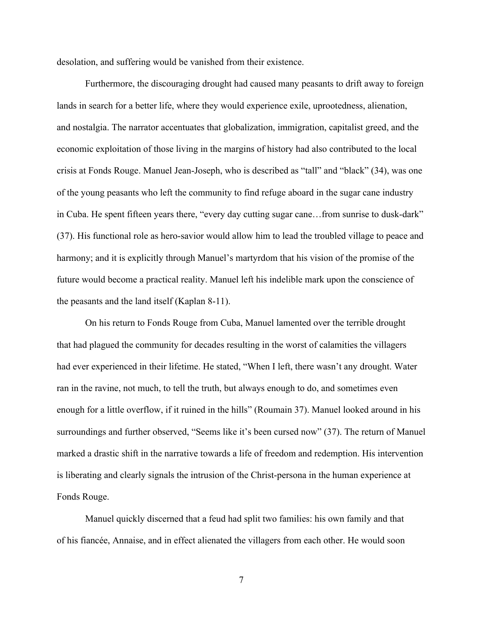desolation, and suffering would be vanished from their existence.

Furthermore, the discouraging drought had caused many peasants to drift away to foreign lands in search for a better life, where they would experience exile, uprootedness, alienation, and nostalgia. The narrator accentuates that globalization, immigration, capitalist greed, and the economic exploitation of those living in the margins of history had also contributed to the local crisis at Fonds Rouge. Manuel Jean-Joseph, who is described as "tall" and "black" (34), was one of the young peasants who left the community to find refuge aboard in the sugar cane industry in Cuba. He spent fifteen years there, "every day cutting sugar cane…from sunrise to dusk-dark" (37). His functional role as hero-savior would allow him to lead the troubled village to peace and harmony; and it is explicitly through Manuel's martyrdom that his vision of the promise of the future would become a practical reality. Manuel left his indelible mark upon the conscience of the peasants and the land itself (Kaplan 8-11).

On his return to Fonds Rouge from Cuba, Manuel lamented over the terrible drought that had plagued the community for decades resulting in the worst of calamities the villagers had ever experienced in their lifetime. He stated, "When I left, there wasn't any drought. Water ran in the ravine, not much, to tell the truth, but always enough to do, and sometimes even enough for a little overflow, if it ruined in the hills" (Roumain 37). Manuel looked around in his surroundings and further observed, "Seems like it's been cursed now" (37). The return of Manuel marked a drastic shift in the narrative towards a life of freedom and redemption. His intervention is liberating and clearly signals the intrusion of the Christ-persona in the human experience at Fonds Rouge.

Manuel quickly discerned that a feud had split two families: his own family and that of his fiancée, Annaise, and in effect alienated the villagers from each other. He would soon

7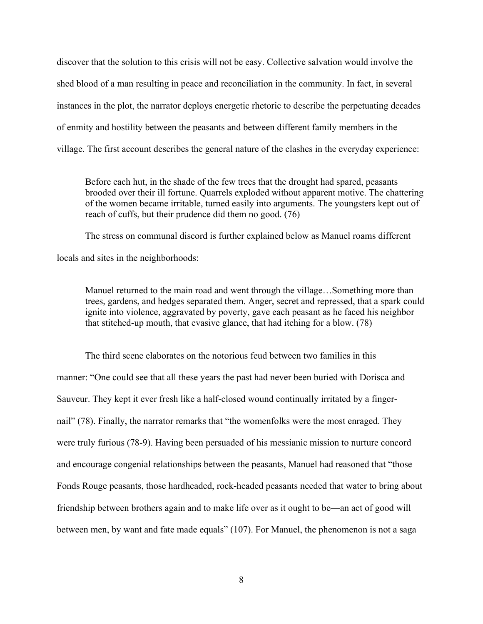discover that the solution to this crisis will not be easy. Collective salvation would involve the shed blood of a man resulting in peace and reconciliation in the community. In fact, in several instances in the plot, the narrator deploys energetic rhetoric to describe the perpetuating decades of enmity and hostility between the peasants and between different family members in the village. The first account describes the general nature of the clashes in the everyday experience:

Before each hut, in the shade of the few trees that the drought had spared, peasants brooded over their ill fortune. Quarrels exploded without apparent motive. The chattering of the women became irritable, turned easily into arguments. The youngsters kept out of reach of cuffs, but their prudence did them no good. (76)

The stress on communal discord is further explained below as Manuel roams different locals and sites in the neighborhoods:

Manuel returned to the main road and went through the village…Something more than trees, gardens, and hedges separated them. Anger, secret and repressed, that a spark could ignite into violence, aggravated by poverty, gave each peasant as he faced his neighbor that stitched-up mouth, that evasive glance, that had itching for a blow. (78)

The third scene elaborates on the notorious feud between two families in this manner: "One could see that all these years the past had never been buried with Dorisca and Sauveur. They kept it ever fresh like a half-closed wound continually irritated by a fingernail" (78). Finally, the narrator remarks that "the womenfolks were the most enraged. They were truly furious (78-9). Having been persuaded of his messianic mission to nurture concord and encourage congenial relationships between the peasants, Manuel had reasoned that "those Fonds Rouge peasants, those hardheaded, rock-headed peasants needed that water to bring about friendship between brothers again and to make life over as it ought to be—an act of good will between men, by want and fate made equals" (107). For Manuel, the phenomenon is not a saga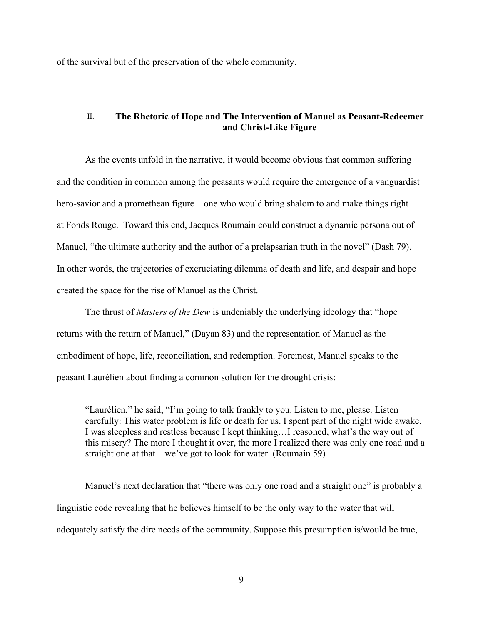of the survival but of the preservation of the whole community.

# II. **The Rhetoric of Hope and The Intervention of Manuel as Peasant-Redeemer and Christ-Like Figure**

As the events unfold in the narrative, it would become obvious that common suffering and the condition in common among the peasants would require the emergence of a vanguardist hero-savior and a promethean figure—one who would bring shalom to and make things right at Fonds Rouge. Toward this end, Jacques Roumain could construct a dynamic persona out of Manuel, "the ultimate authority and the author of a prelapsarian truth in the novel" (Dash 79). In other words, the trajectories of excruciating dilemma of death and life, and despair and hope created the space for the rise of Manuel as the Christ.

The thrust of *Masters of the Dew* is undeniably the underlying ideology that "hope returns with the return of Manuel," (Dayan 83) and the representation of Manuel as the embodiment of hope, life, reconciliation, and redemption. Foremost, Manuel speaks to the peasant Laurélien about finding a common solution for the drought crisis:

"Laurélien," he said, "I'm going to talk frankly to you. Listen to me, please. Listen carefully: This water problem is life or death for us. I spent part of the night wide awake. I was sleepless and restless because I kept thinking…I reasoned, what's the way out of this misery? The more I thought it over, the more I realized there was only one road and a straight one at that—we've got to look for water. (Roumain 59)

Manuel's next declaration that "there was only one road and a straight one" is probably a linguistic code revealing that he believes himself to be the only way to the water that will adequately satisfy the dire needs of the community. Suppose this presumption is/would be true,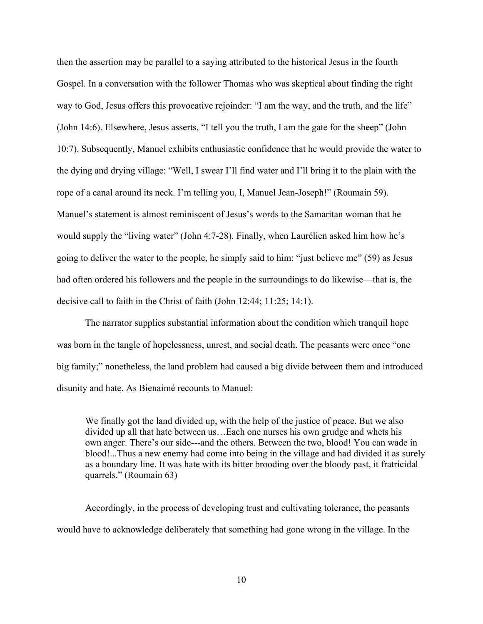then the assertion may be parallel to a saying attributed to the historical Jesus in the fourth Gospel. In a conversation with the follower Thomas who was skeptical about finding the right way to God, Jesus offers this provocative rejoinder: "I am the way, and the truth, and the life" (John 14:6). Elsewhere, Jesus asserts, "I tell you the truth, I am the gate for the sheep" (John 10:7). Subsequently, Manuel exhibits enthusiastic confidence that he would provide the water to the dying and drying village: "Well, I swear I'll find water and I'll bring it to the plain with the rope of a canal around its neck. I'm telling you, I, Manuel Jean-Joseph!" (Roumain 59). Manuel's statement is almost reminiscent of Jesus's words to the Samaritan woman that he would supply the "living water" (John 4:7-28). Finally, when Laurélien asked him how he's going to deliver the water to the people, he simply said to him: "just believe me" (59) as Jesus had often ordered his followers and the people in the surroundings to do likewise—that is, the decisive call to faith in the Christ of faith (John 12:44; 11:25; 14:1).

The narrator supplies substantial information about the condition which tranquil hope was born in the tangle of hopelessness, unrest, and social death. The peasants were once "one big family;" nonetheless, the land problem had caused a big divide between them and introduced disunity and hate. As Bienaimé recounts to Manuel:

We finally got the land divided up, with the help of the justice of peace. But we also divided up all that hate between us…Each one nurses his own grudge and whets his own anger. There's our side---and the others. Between the two, blood! You can wade in blood!...Thus a new enemy had come into being in the village and had divided it as surely as a boundary line. It was hate with its bitter brooding over the bloody past, it fratricidal quarrels." (Roumain 63)

Accordingly, in the process of developing trust and cultivating tolerance, the peasants would have to acknowledge deliberately that something had gone wrong in the village. In the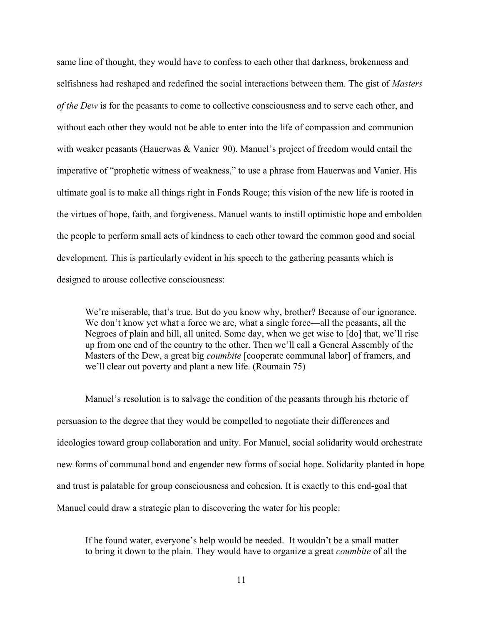same line of thought, they would have to confess to each other that darkness, brokenness and selfishness had reshaped and redefined the social interactions between them. The gist of *Masters of the Dew* is for the peasants to come to collective consciousness and to serve each other, and without each other they would not be able to enter into the life of compassion and communion with weaker peasants (Hauerwas & Vanier 90). Manuel's project of freedom would entail the imperative of "prophetic witness of weakness," to use a phrase from Hauerwas and Vanier. His ultimate goal is to make all things right in Fonds Rouge; this vision of the new life is rooted in the virtues of hope, faith, and forgiveness. Manuel wants to instill optimistic hope and embolden the people to perform small acts of kindness to each other toward the common good and social development. This is particularly evident in his speech to the gathering peasants which is designed to arouse collective consciousness:

We're miserable, that's true. But do you know why, brother? Because of our ignorance. We don't know yet what a force we are, what a single force—all the peasants, all the Negroes of plain and hill, all united. Some day, when we get wise to [do] that, we'll rise up from one end of the country to the other. Then we'll call a General Assembly of the Masters of the Dew, a great big *coumbite* [cooperate communal labor] of framers, and we'll clear out poverty and plant a new life. (Roumain 75)

Manuel's resolution is to salvage the condition of the peasants through his rhetoric of persuasion to the degree that they would be compelled to negotiate their differences and ideologies toward group collaboration and unity. For Manuel, social solidarity would orchestrate new forms of communal bond and engender new forms of social hope. Solidarity planted in hope and trust is palatable for group consciousness and cohesion. It is exactly to this end-goal that Manuel could draw a strategic plan to discovering the water for his people:

If he found water, everyone's help would be needed. It wouldn't be a small matter to bring it down to the plain. They would have to organize a great *coumbite* of all the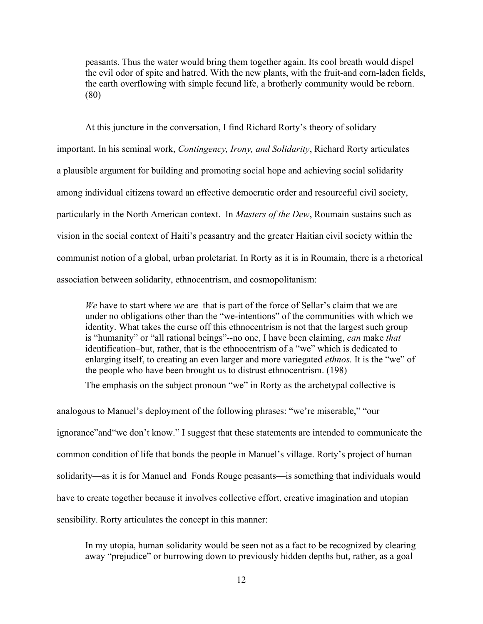peasants. Thus the water would bring them together again. Its cool breath would dispel the evil odor of spite and hatred. With the new plants, with the fruit-and corn-laden fields, the earth overflowing with simple fecund life, a brotherly community would be reborn. (80)

At this juncture in the conversation, I find Richard Rorty's theory of solidary important. In his seminal work, *Contingency, Irony, and Solidarity*, Richard Rorty articulates a plausible argument for building and promoting social hope and achieving social solidarity among individual citizens toward an effective democratic order and resourceful civil society, particularly in the North American context. In *Masters of the Dew*, Roumain sustains such as vision in the social context of Haiti's peasantry and the greater Haitian civil society within the communist notion of a global, urban proletariat. In Rorty as it is in Roumain, there is a rhetorical association between solidarity, ethnocentrism, and cosmopolitanism:

*We* have to start where *we* are–that is part of the force of Sellar's claim that we are under no obligations other than the "we-intentions" of the communities with which we identity. What takes the curse off this ethnocentrism is not that the largest such group is "humanity" or "all rational beings"--no one, I have been claiming, *can* make *that* identification–but, rather, that is the ethnocentrism of a "we" which is dedicated to enlarging itself, to creating an even larger and more variegated *ethnos.* It is the "we" of the people who have been brought us to distrust ethnocentrism. (198)

The emphasis on the subject pronoun "we" in Rorty as the archetypal collective is

analogous to Manuel's deployment of the following phrases: "we're miserable," "our ignorance"and"we don't know." I suggest that these statements are intended to communicate the common condition of life that bonds the people in Manuel's village. Rorty's project of human solidarity—as it is for Manuel and Fonds Rouge peasants—is something that individuals would have to create together because it involves collective effort, creative imagination and utopian sensibility. Rorty articulates the concept in this manner:

In my utopia, human solidarity would be seen not as a fact to be recognized by clearing away "prejudice" or burrowing down to previously hidden depths but, rather, as a goal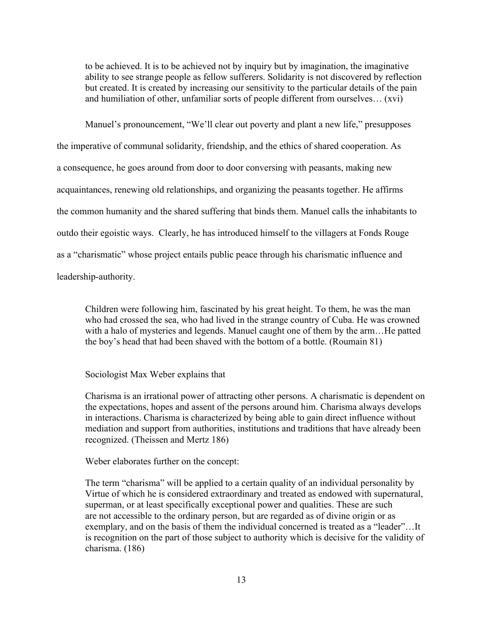to be achieved. It is to be achieved not by inquiry but by imagination, the imaginative ability to see strange people as fellow sufferers. Solidarity is not discovered by reflection but created. It is created by increasing our sensitivity to the particular details of the pain and humiliation of other, unfamiliar sorts of people different from ourselves… (xvi)

Manuel's pronouncement, "We'll clear out poverty and plant a new life," presupposes the imperative of communal solidarity, friendship, and the ethics of shared cooperation. As a consequence, he goes around from door to door conversing with peasants, making new acquaintances, renewing old relationships, and organizing the peasants together. He affirms the common humanity and the shared suffering that binds them. Manuel calls the inhabitants to outdo their egoistic ways. Clearly, he has introduced himself to the villagers at Fonds Rouge as a "charismatic" whose project entails public peace through his charismatic influence and leadership-authority.

Children were following him, fascinated by his great height. To them, he was the man who had crossed the sea, who had lived in the strange country of Cuba. He was crowned with a halo of mysteries and legends. Manuel caught one of them by the arm...He patted the boy's head that had been shaved with the bottom of a bottle. (Roumain 81)

Sociologist Max Weber explains that

Charisma is an irrational power of attracting other persons. A charismatic is dependent on the expectations, hopes and assent of the persons around him. Charisma always develops in interactions. Charisma is characterized by being able to gain direct influence without mediation and support from authorities, institutions and traditions that have already been recognized. (Theissen and Mertz 186)

Weber elaborates further on the concept:

The term "charisma" will be applied to a certain quality of an individual personality by Virtue of which he is considered extraordinary and treated as endowed with supernatural, superman, or at least specifically exceptional power and qualities. These are such are not accessible to the ordinary person, but are regarded as of divine origin or as exemplary, and on the basis of them the individual concerned is treated as a "leader"…It is recognition on the part of those subject to authority which is decisive for the validity of charisma. (186)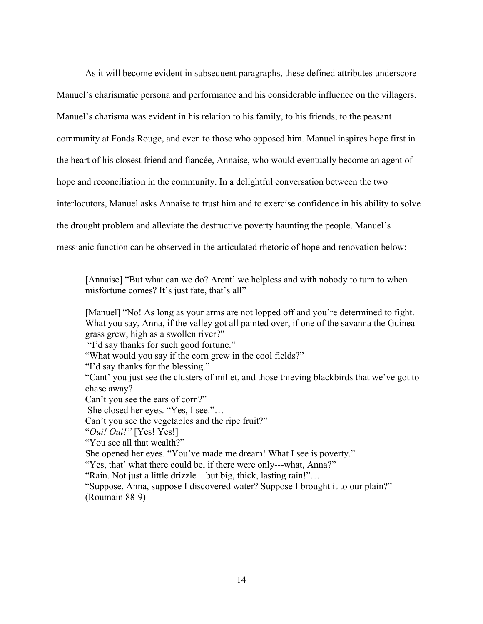As it will become evident in subsequent paragraphs, these defined attributes underscore Manuel's charismatic persona and performance and his considerable influence on the villagers. Manuel's charisma was evident in his relation to his family, to his friends, to the peasant community at Fonds Rouge, and even to those who opposed him. Manuel inspires hope first in the heart of his closest friend and fiancée, Annaise, who would eventually become an agent of hope and reconciliation in the community. In a delightful conversation between the two interlocutors, Manuel asks Annaise to trust him and to exercise confidence in his ability to solve the drought problem and alleviate the destructive poverty haunting the people. Manuel's messianic function can be observed in the articulated rhetoric of hope and renovation below:

[Annaise] "But what can we do? Arent' we helpless and with nobody to turn to when misfortune comes? It's just fate, that's all"

[Manuel] "No! As long as your arms are not lopped off and you're determined to fight. What you say, Anna, if the valley got all painted over, if one of the savanna the Guinea grass grew, high as a swollen river?"

"I'd say thanks for such good fortune."

"What would you say if the corn grew in the cool fields?"

"I'd say thanks for the blessing."

"Cant' you just see the clusters of millet, and those thieving blackbirds that we've got to chase away?

Can't you see the ears of corn?"

She closed her eyes. "Yes, I see."…

Can't you see the vegetables and the ripe fruit?"

"*Oui! Oui!"* [Yes! Yes!]

"You see all that wealth?"

She opened her eyes. "You've made me dream! What I see is poverty."

"Yes, that' what there could be, if there were only---what, Anna?"

"Rain. Not just a little drizzle—but big, thick, lasting rain!"…

"Suppose, Anna, suppose I discovered water? Suppose I brought it to our plain?" (Roumain 88-9)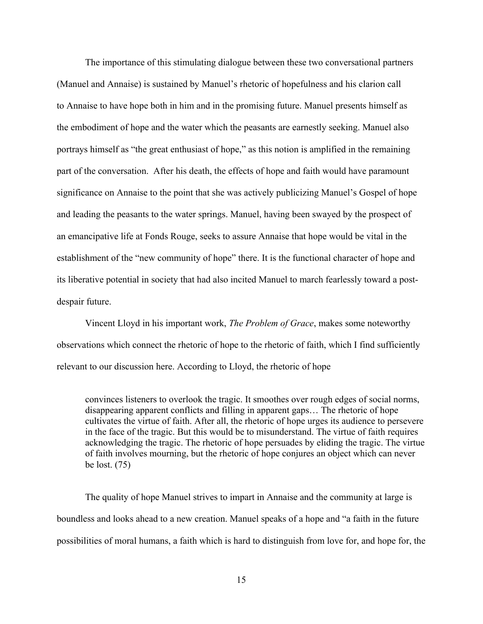The importance of this stimulating dialogue between these two conversational partners (Manuel and Annaise) is sustained by Manuel's rhetoric of hopefulness and his clarion call to Annaise to have hope both in him and in the promising future. Manuel presents himself as the embodiment of hope and the water which the peasants are earnestly seeking. Manuel also portrays himself as "the great enthusiast of hope," as this notion is amplified in the remaining part of the conversation. After his death, the effects of hope and faith would have paramount significance on Annaise to the point that she was actively publicizing Manuel's Gospel of hope and leading the peasants to the water springs. Manuel, having been swayed by the prospect of an emancipative life at Fonds Rouge, seeks to assure Annaise that hope would be vital in the establishment of the "new community of hope" there. It is the functional character of hope and its liberative potential in society that had also incited Manuel to march fearlessly toward a postdespair future.

Vincent Lloyd in his important work, *The Problem of Grace*, makes some noteworthy observations which connect the rhetoric of hope to the rhetoric of faith, which I find sufficiently relevant to our discussion here. According to Lloyd, the rhetoric of hope

convinces listeners to overlook the tragic. It smoothes over rough edges of social norms, disappearing apparent conflicts and filling in apparent gaps… The rhetoric of hope cultivates the virtue of faith. After all, the rhetoric of hope urges its audience to persevere in the face of the tragic. But this would be to misunderstand. The virtue of faith requires acknowledging the tragic. The rhetoric of hope persuades by eliding the tragic. The virtue of faith involves mourning, but the rhetoric of hope conjures an object which can never be lost. (75)

The quality of hope Manuel strives to impart in Annaise and the community at large is boundless and looks ahead to a new creation. Manuel speaks of a hope and "a faith in the future possibilities of moral humans, a faith which is hard to distinguish from love for, and hope for, the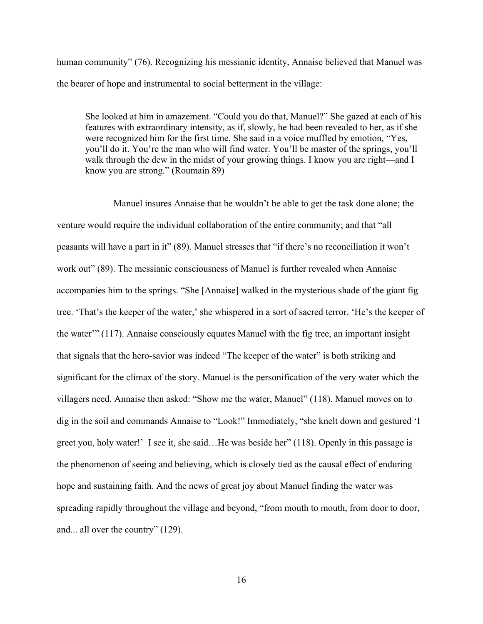human community" (76). Recognizing his messianic identity, Annaise believed that Manuel was the bearer of hope and instrumental to social betterment in the village:

She looked at him in amazement. "Could you do that, Manuel?" She gazed at each of his features with extraordinary intensity, as if, slowly, he had been revealed to her, as if she were recognized him for the first time. She said in a voice muffled by emotion, "Yes, you'll do it. You're the man who will find water. You'll be master of the springs, you'll walk through the dew in the midst of your growing things. I know you are right—and I know you are strong." (Roumain 89)

Manuel insures Annaise that he wouldn't be able to get the task done alone; the venture would require the individual collaboration of the entire community; and that "all peasants will have a part in it" (89). Manuel stresses that "if there's no reconciliation it won't work out" (89). The messianic consciousness of Manuel is further revealed when Annaise accompanies him to the springs. "She [Annaise] walked in the mysterious shade of the giant fig tree. 'That's the keeper of the water,' she whispered in a sort of sacred terror. 'He's the keeper of the water'" (117). Annaise consciously equates Manuel with the fig tree, an important insight that signals that the hero-savior was indeed "The keeper of the water" is both striking and significant for the climax of the story. Manuel is the personification of the very water which the villagers need. Annaise then asked: "Show me the water, Manuel" (118). Manuel moves on to dig in the soil and commands Annaise to "Look!" Immediately, "she knelt down and gestured 'I greet you, holy water!' I see it, she said…He was beside her" (118). Openly in this passage is the phenomenon of seeing and believing, which is closely tied as the causal effect of enduring hope and sustaining faith. And the news of great joy about Manuel finding the water was spreading rapidly throughout the village and beyond, "from mouth to mouth, from door to door, and... all over the country" (129).

16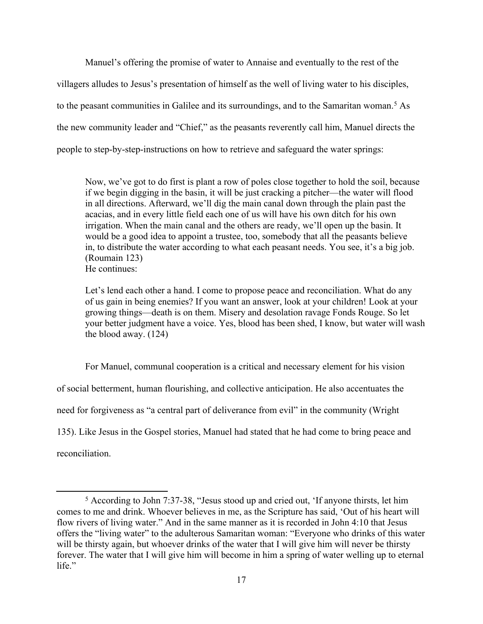Manuel's offering the promise of water to Annaise and eventually to the rest of the

villagers alludes to Jesus's presentation of himself as the well of living water to his disciples,

to the peasant communities in Galilee and its surroundings, and to the Samaritan woman.<sup>5</sup> As

the new community leader and "Chief," as the peasants reverently call him, Manuel directs the

people to step-by-step-instructions on how to retrieve and safeguard the water springs:

Now, we've got to do first is plant a row of poles close together to hold the soil, because if we begin digging in the basin, it will be just cracking a pitcher—the water will flood in all directions. Afterward, we'll dig the main canal down through the plain past the acacias, and in every little field each one of us will have his own ditch for his own irrigation. When the main canal and the others are ready, we'll open up the basin. It would be a good idea to appoint a trustee, too, somebody that all the peasants believe in, to distribute the water according to what each peasant needs. You see, it's a big job. (Roumain 123) He continues:

Let's lend each other a hand. I come to propose peace and reconciliation. What do any of us gain in being enemies? If you want an answer, look at your children! Look at your growing things—death is on them. Misery and desolation ravage Fonds Rouge. So let your better judgment have a voice. Yes, blood has been shed, I know, but water will wash the blood away. (124)

For Manuel, communal cooperation is a critical and necessary element for his vision of social betterment, human flourishing, and collective anticipation. He also accentuates the need for forgiveness as "a central part of deliverance from evil" in the community (Wright 135). Like Jesus in the Gospel stories, Manuel had stated that he had come to bring peace and reconciliation.

<sup>&</sup>lt;sup>5</sup> According to John 7:37-38, "Jesus stood up and cried out, 'If anyone thirsts, let him comes to me and drink. Whoever believes in me, as the Scripture has said, 'Out of his heart will flow rivers of living water." And in the same manner as it is recorded in John 4:10 that Jesus offers the "living water" to the adulterous Samaritan woman: "Everyone who drinks of this water will be thirsty again, but whoever drinks of the water that I will give him will never be thirsty forever. The water that I will give him will become in him a spring of water welling up to eternal life."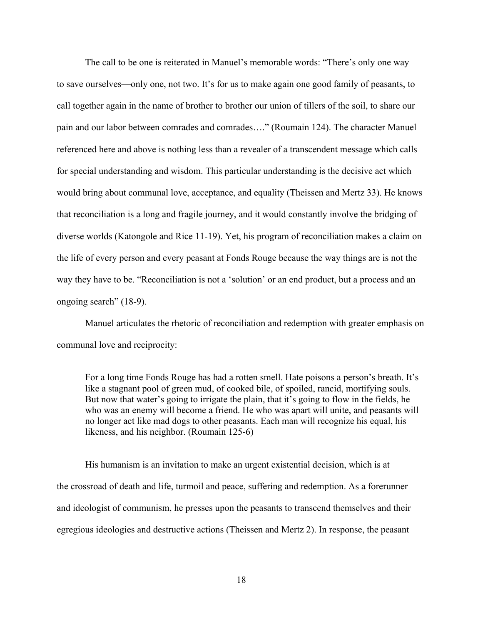The call to be one is reiterated in Manuel's memorable words: "There's only one way to save ourselves—only one, not two. It's for us to make again one good family of peasants, to call together again in the name of brother to brother our union of tillers of the soil, to share our pain and our labor between comrades and comrades…." (Roumain 124). The character Manuel referenced here and above is nothing less than a revealer of a transcendent message which calls for special understanding and wisdom. This particular understanding is the decisive act which would bring about communal love, acceptance, and equality (Theissen and Mertz 33). He knows that reconciliation is a long and fragile journey, and it would constantly involve the bridging of diverse worlds (Katongole and Rice 11-19). Yet, his program of reconciliation makes a claim on the life of every person and every peasant at Fonds Rouge because the way things are is not the way they have to be. "Reconciliation is not a 'solution' or an end product, but a process and an ongoing search" (18-9).

Manuel articulates the rhetoric of reconciliation and redemption with greater emphasis on communal love and reciprocity:

For a long time Fonds Rouge has had a rotten smell. Hate poisons a person's breath. It's like a stagnant pool of green mud, of cooked bile, of spoiled, rancid, mortifying souls. But now that water's going to irrigate the plain, that it's going to flow in the fields, he who was an enemy will become a friend. He who was apart will unite, and peasants will no longer act like mad dogs to other peasants. Each man will recognize his equal, his likeness, and his neighbor. (Roumain 125-6)

His humanism is an invitation to make an urgent existential decision, which is at the crossroad of death and life, turmoil and peace, suffering and redemption. As a forerunner and ideologist of communism, he presses upon the peasants to transcend themselves and their egregious ideologies and destructive actions (Theissen and Mertz 2). In response, the peasant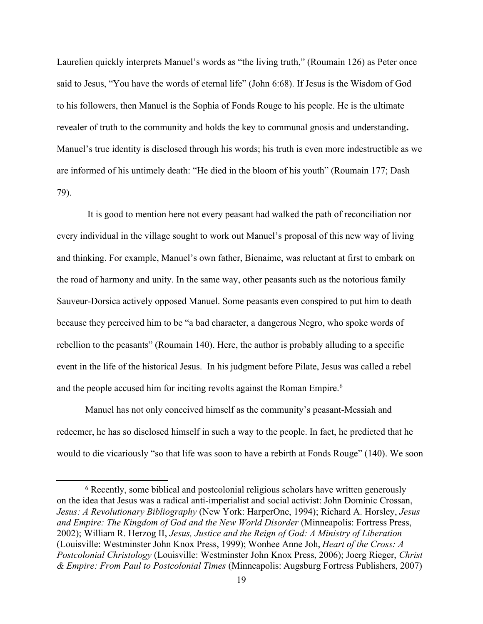Laurelien quickly interprets Manuel's words as "the living truth," (Roumain 126) as Peter once said to Jesus, "You have the words of eternal life" (John 6:68). If Jesus is the Wisdom of God to his followers, then Manuel is the Sophia of Fonds Rouge to his people. He is the ultimate revealer of truth to the community and holds the key to communal gnosis and understanding**.**  Manuel's true identity is disclosed through his words; his truth is even more indestructible as we are informed of his untimely death: "He died in the bloom of his youth" (Roumain 177; Dash 79).

 It is good to mention here not every peasant had walked the path of reconciliation nor every individual in the village sought to work out Manuel's proposal of this new way of living and thinking. For example, Manuel's own father, Bienaime, was reluctant at first to embark on the road of harmony and unity. In the same way, other peasants such as the notorious family Sauveur-Dorsica actively opposed Manuel. Some peasants even conspired to put him to death because they perceived him to be "a bad character, a dangerous Negro, who spoke words of rebellion to the peasants" (Roumain 140). Here, the author is probably alluding to a specific event in the life of the historical Jesus. In his judgment before Pilate, Jesus was called a rebel and the people accused him for inciting revolts against the Roman Empire.<sup>6</sup>

Manuel has not only conceived himself as the community's peasant-Messiah and redeemer, he has so disclosed himself in such a way to the people. In fact, he predicted that he would to die vicariously "so that life was soon to have a rebirth at Fonds Rouge" (140). We soon

<sup>&</sup>lt;sup>6</sup> Recently, some biblical and postcolonial religious scholars have written generously on the idea that Jesus was a radical anti-imperialist and social activist: John Dominic Crossan, *Jesus: A Revolutionary Bibliography* (New York: HarperOne, 1994); Richard A. Horsley, *Jesus and Empire: The Kingdom of God and the New World Disorder* (Minneapolis: Fortress Press, 2002); William R. Herzog II, *Jesus, Justice and the Reign of God: A Ministry of Liberation* (Louisville: Westminster John Knox Press, 1999); Wonhee Anne Joh, *Heart of the Cross: A Postcolonial Christology* (Louisville: Westminster John Knox Press, 2006); Joerg Rieger, *Christ & Empire: From Paul to Postcolonial Times* (Minneapolis: Augsburg Fortress Publishers, 2007)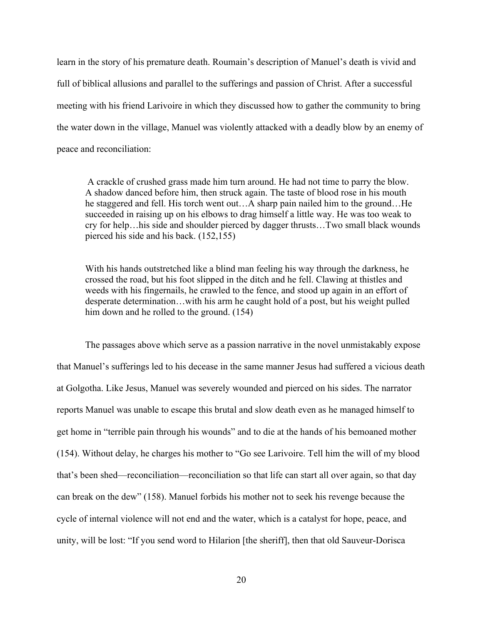learn in the story of his premature death. Roumain's description of Manuel's death is vivid and full of biblical allusions and parallel to the sufferings and passion of Christ. After a successful meeting with his friend Larivoire in which they discussed how to gather the community to bring the water down in the village, Manuel was violently attacked with a deadly blow by an enemy of peace and reconciliation:

A crackle of crushed grass made him turn around. He had not time to parry the blow. A shadow danced before him, then struck again. The taste of blood rose in his mouth he staggered and fell. His torch went out…A sharp pain nailed him to the ground…He succeeded in raising up on his elbows to drag himself a little way. He was too weak to cry for help…his side and shoulder pierced by dagger thrusts…Two small black wounds pierced his side and his back. (152,155)

With his hands outstretched like a blind man feeling his way through the darkness, he crossed the road, but his foot slipped in the ditch and he fell. Clawing at thistles and weeds with his fingernails, he crawled to the fence, and stood up again in an effort of desperate determination…with his arm he caught hold of a post, but his weight pulled him down and he rolled to the ground. (154)

The passages above which serve as a passion narrative in the novel unmistakably expose that Manuel's sufferings led to his decease in the same manner Jesus had suffered a vicious death at Golgotha. Like Jesus, Manuel was severely wounded and pierced on his sides. The narrator reports Manuel was unable to escape this brutal and slow death even as he managed himself to get home in "terrible pain through his wounds" and to die at the hands of his bemoaned mother (154). Without delay, he charges his mother to "Go see Larivoire. Tell him the will of my blood that's been shed—reconciliation—reconciliation so that life can start all over again, so that day can break on the dew" (158). Manuel forbids his mother not to seek his revenge because the cycle of internal violence will not end and the water, which is a catalyst for hope, peace, and unity, will be lost: "If you send word to Hilarion [the sheriff], then that old Sauveur-Dorisca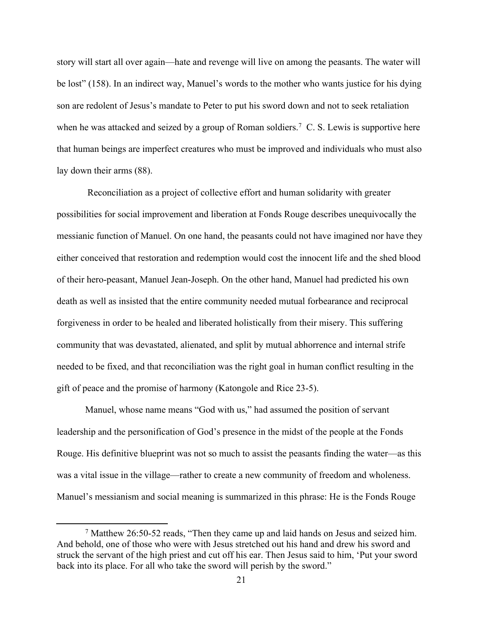story will start all over again—hate and revenge will live on among the peasants. The water will be lost" (158). In an indirect way, Manuel's words to the mother who wants justice for his dying son are redolent of Jesus's mandate to Peter to put his sword down and not to seek retaliation when he was attacked and seized by a group of Roman soldiers.<sup>7</sup> C. S. Lewis is supportive here that human beings are imperfect creatures who must be improved and individuals who must also lay down their arms (88).

 Reconciliation as a project of collective effort and human solidarity with greater possibilities for social improvement and liberation at Fonds Rouge describes unequivocally the messianic function of Manuel. On one hand, the peasants could not have imagined nor have they either conceived that restoration and redemption would cost the innocent life and the shed blood of their hero-peasant, Manuel Jean-Joseph. On the other hand, Manuel had predicted his own death as well as insisted that the entire community needed mutual forbearance and reciprocal forgiveness in order to be healed and liberated holistically from their misery. This suffering community that was devastated, alienated, and split by mutual abhorrence and internal strife needed to be fixed, and that reconciliation was the right goal in human conflict resulting in the gift of peace and the promise of harmony (Katongole and Rice 23-5).

Manuel, whose name means "God with us," had assumed the position of servant leadership and the personification of God's presence in the midst of the people at the Fonds Rouge. His definitive blueprint was not so much to assist the peasants finding the water—as this was a vital issue in the village—rather to create a new community of freedom and wholeness. Manuel's messianism and social meaning is summarized in this phrase: He is the Fonds Rouge

<sup>7</sup> Matthew 26:50-52 reads, "Then they came up and laid hands on Jesus and seized him. And behold, one of those who were with Jesus stretched out his hand and drew his sword and struck the servant of the high priest and cut off his ear. Then Jesus said to him, 'Put your sword back into its place. For all who take the sword will perish by the sword."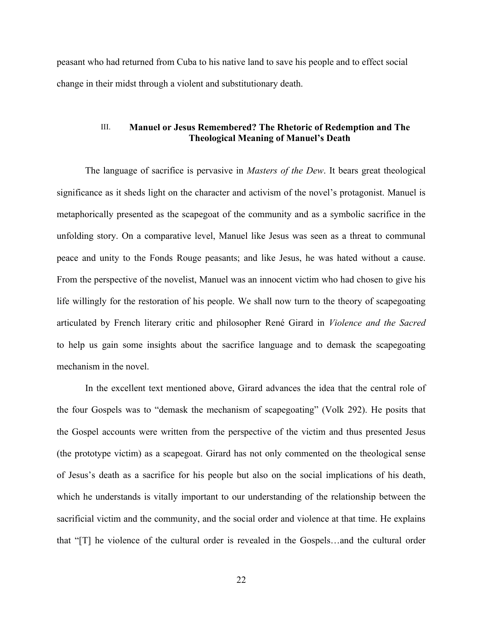peasant who had returned from Cuba to his native land to save his people and to effect social change in their midst through a violent and substitutionary death.

## III. **Manuel or Jesus Remembered? The Rhetoric of Redemption and The Theological Meaning of Manuel's Death**

The language of sacrifice is pervasive in *Masters of the Dew*. It bears great theological significance as it sheds light on the character and activism of the novel's protagonist. Manuel is metaphorically presented as the scapegoat of the community and as a symbolic sacrifice in the unfolding story. On a comparative level, Manuel like Jesus was seen as a threat to communal peace and unity to the Fonds Rouge peasants; and like Jesus, he was hated without a cause. From the perspective of the novelist, Manuel was an innocent victim who had chosen to give his life willingly for the restoration of his people. We shall now turn to the theory of scapegoating articulated by French literary critic and philosopher René Girard in *Violence and the Sacred* to help us gain some insights about the sacrifice language and to demask the scapegoating mechanism in the novel.

In the excellent text mentioned above, Girard advances the idea that the central role of the four Gospels was to "demask the mechanism of scapegoating" (Volk 292). He posits that the Gospel accounts were written from the perspective of the victim and thus presented Jesus (the prototype victim) as a scapegoat. Girard has not only commented on the theological sense of Jesus's death as a sacrifice for his people but also on the social implications of his death, which he understands is vitally important to our understanding of the relationship between the sacrificial victim and the community, and the social order and violence at that time. He explains that "[T] he violence of the cultural order is revealed in the Gospels…and the cultural order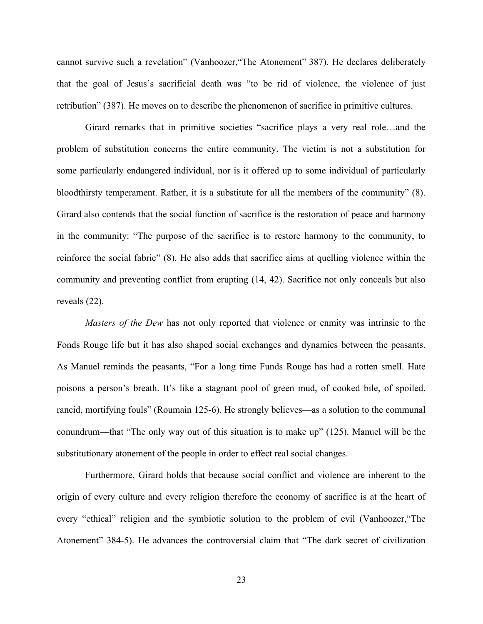cannot survive such a revelation" (Vanhoozer,"The Atonement" 387). He declares deliberately that the goal of Jesus's sacrificial death was "to be rid of violence, the violence of just retribution" (387). He moves on to describe the phenomenon of sacrifice in primitive cultures.

Girard remarks that in primitive societies "sacrifice plays a very real role…and the problem of substitution concerns the entire community. The victim is not a substitution for some particularly endangered individual, nor is it offered up to some individual of particularly bloodthirsty temperament. Rather, it is a substitute for all the members of the community" (8). Girard also contends that the social function of sacrifice is the restoration of peace and harmony in the community: "The purpose of the sacrifice is to restore harmony to the community, to reinforce the social fabric" (8). He also adds that sacrifice aims at quelling violence within the community and preventing conflict from erupting (14, 42). Sacrifice not only conceals but also reveals (22).

*Masters of the Dew* has not only reported that violence or enmity was intrinsic to the Fonds Rouge life but it has also shaped social exchanges and dynamics between the peasants. As Manuel reminds the peasants, "For a long time Funds Rouge has had a rotten smell. Hate poisons a person's breath. It's like a stagnant pool of green mud, of cooked bile, of spoiled, rancid, mortifying fouls" (Roumain 125-6). He strongly believes—as a solution to the communal conundrum—that "The only way out of this situation is to make up" (125). Manuel will be the substitutionary atonement of the people in order to effect real social changes.

Furthermore, Girard holds that because social conflict and violence are inherent to the origin of every culture and every religion therefore the economy of sacrifice is at the heart of every "ethical" religion and the symbiotic solution to the problem of evil (Vanhoozer,"The Atonement" 384-5). He advances the controversial claim that "The dark secret of civilization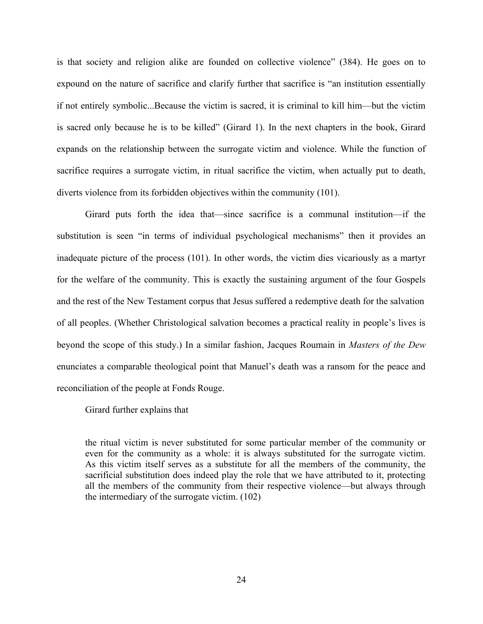is that society and religion alike are founded on collective violence" (384). He goes on to expound on the nature of sacrifice and clarify further that sacrifice is "an institution essentially if not entirely symbolic...Because the victim is sacred, it is criminal to kill him—but the victim is sacred only because he is to be killed" (Girard 1). In the next chapters in the book, Girard expands on the relationship between the surrogate victim and violence. While the function of sacrifice requires a surrogate victim, in ritual sacrifice the victim, when actually put to death, diverts violence from its forbidden objectives within the community (101).

Girard puts forth the idea that—since sacrifice is a communal institution—if the substitution is seen "in terms of individual psychological mechanisms" then it provides an inadequate picture of the process (101). In other words, the victim dies vicariously as a martyr for the welfare of the community. This is exactly the sustaining argument of the four Gospels and the rest of the New Testament corpus that Jesus suffered a redemptive death for the salvation of all peoples. (Whether Christological salvation becomes a practical reality in people's lives is beyond the scope of this study.) In a similar fashion, Jacques Roumain in *Masters of the Dew* enunciates a comparable theological point that Manuel's death was a ransom for the peace and reconciliation of the people at Fonds Rouge.

Girard further explains that

the ritual victim is never substituted for some particular member of the community or even for the community as a whole: it is always substituted for the surrogate victim. As this victim itself serves as a substitute for all the members of the community, the sacrificial substitution does indeed play the role that we have attributed to it, protecting all the members of the community from their respective violence—but always through the intermediary of the surrogate victim. (102)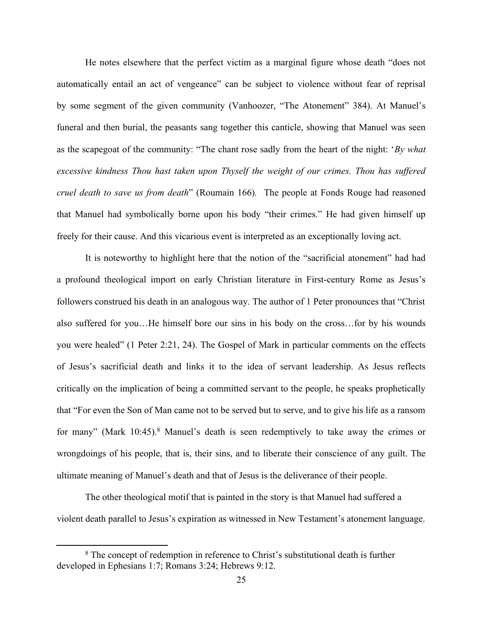He notes elsewhere that the perfect victim as a marginal figure whose death "does not automatically entail an act of vengeance" can be subject to violence without fear of reprisal by some segment of the given community (Vanhoozer, "The Atonement" 384). At Manuel's funeral and then burial, the peasants sang together this canticle, showing that Manuel was seen as the scapegoat of the community: "The chant rose sadly from the heart of the night: '*By what excessive kindness Thou hast taken upon Thyself the weight of our crimes. Thou has suffered cruel death to save us from death*" (Roumain 166)*.* The people at Fonds Rouge had reasoned that Manuel had symbolically borne upon his body "their crimes." He had given himself up freely for their cause. And this vicarious event is interpreted as an exceptionally loving act.

It is noteworthy to highlight here that the notion of the "sacrificial atonement" had had a profound theological import on early Christian literature in First-century Rome as Jesus's followers construed his death in an analogous way. The author of 1 Peter pronounces that "Christ also suffered for you…He himself bore our sins in his body on the cross…for by his wounds you were healed" (1 Peter 2:21, 24). The Gospel of Mark in particular comments on the effects of Jesus's sacrificial death and links it to the idea of servant leadership. As Jesus reflects critically on the implication of being a committed servant to the people, he speaks prophetically that "For even the Son of Man came not to be served but to serve, and to give his life as a ransom for many" (Mark 10:45).<sup>8</sup> Manuel's death is seen redemptively to take away the crimes or wrongdoings of his people, that is, their sins, and to liberate their conscience of any guilt. The ultimate meaning of Manuel's death and that of Jesus is the deliverance of their people.

The other theological motif that is painted in the story is that Manuel had suffered a violent death parallel to Jesus's expiration as witnessed in New Testament's atonement language.

<sup>8</sup> The concept of redemption in reference to Christ's substitutional death is further developed in Ephesians 1:7; Romans 3:24; Hebrews 9:12.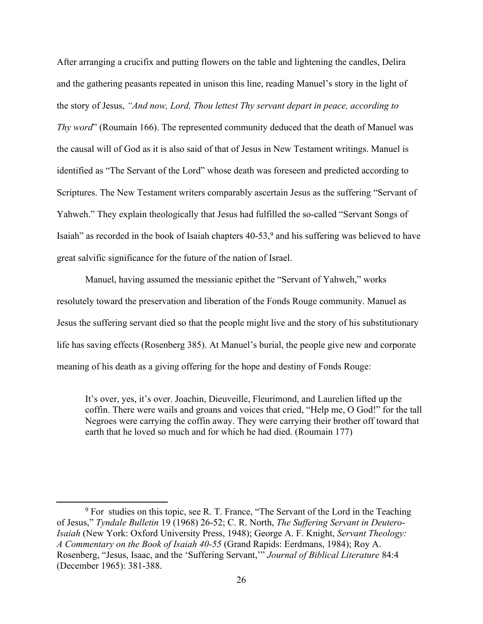After arranging a crucifix and putting flowers on the table and lightening the candles, Delira and the gathering peasants repeated in unison this line, reading Manuel's story in the light of the story of Jesus, *"And now, Lord, Thou lettest Thy servant depart in peace, according to Thy word*" (Roumain 166). The represented community deduced that the death of Manuel was the causal will of God as it is also said of that of Jesus in New Testament writings. Manuel is identified as "The Servant of the Lord" whose death was foreseen and predicted according to Scriptures. The New Testament writers comparably ascertain Jesus as the suffering "Servant of Yahweh." They explain theologically that Jesus had fulfilled the so-called "Servant Songs of Isaiah" as recorded in the book of Isaiah chapters  $40-53$ , and his suffering was believed to have great salvific significance for the future of the nation of Israel.

Manuel, having assumed the messianic epithet the "Servant of Yahweh," works resolutely toward the preservation and liberation of the Fonds Rouge community. Manuel as Jesus the suffering servant died so that the people might live and the story of his substitutionary life has saving effects (Rosenberg 385). At Manuel's burial, the people give new and corporate meaning of his death as a giving offering for the hope and destiny of Fonds Rouge:

It's over, yes, it's over. Joachin, Dieuveille, Fleurimond, and Laurelien lifted up the coffin. There were wails and groans and voices that cried, "Help me, O God!" for the tall Negroes were carrying the coffin away. They were carrying their brother off toward that earth that he loved so much and for which he had died. (Roumain 177)

<sup>&</sup>lt;sup>9</sup> For studies on this topic, see R. T. France, "The Servant of the Lord in the Teaching of Jesus," *Tyndale Bulletin* 19 (1968) 26-52; C. R. North, *The Suffering Servant in Deutero-Isaiah* (New York: Oxford University Press, 1948); George A. F. Knight, *Servant Theology: A Commentary on the Book of Isaiah 40-55* (Grand Rapids: Eerdmans, 1984); Roy A. Rosenberg, "Jesus, Isaac, and the 'Suffering Servant,'" *Journal of Biblical Literature* 84:4 (December 1965): 381-388.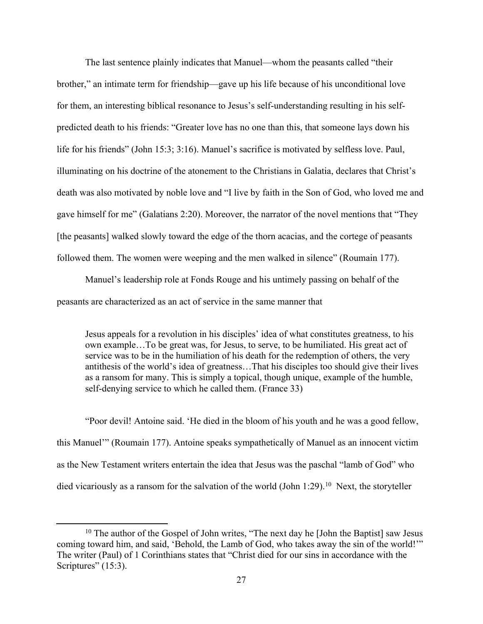The last sentence plainly indicates that Manuel—whom the peasants called "their brother," an intimate term for friendship—gave up his life because of his unconditional love for them, an interesting biblical resonance to Jesus's self-understanding resulting in his selfpredicted death to his friends: "Greater love has no one than this, that someone lays down his life for his friends" (John 15:3; 3:16). Manuel's sacrifice is motivated by selfless love. Paul, illuminating on his doctrine of the atonement to the Christians in Galatia, declares that Christ's death was also motivated by noble love and "I live by faith in the Son of God, who loved me and gave himself for me" (Galatians 2:20). Moreover, the narrator of the novel mentions that "They [the peasants] walked slowly toward the edge of the thorn acacias, and the cortege of peasants followed them. The women were weeping and the men walked in silence" (Roumain 177).

Manuel's leadership role at Fonds Rouge and his untimely passing on behalf of the peasants are characterized as an act of service in the same manner that

Jesus appeals for a revolution in his disciples' idea of what constitutes greatness, to his own example…To be great was, for Jesus, to serve, to be humiliated. His great act of service was to be in the humiliation of his death for the redemption of others, the very antithesis of the world's idea of greatness…That his disciples too should give their lives as a ransom for many. This is simply a topical, though unique, example of the humble, self-denying service to which he called them. (France 33)

"Poor devil! Antoine said. 'He died in the bloom of his youth and he was a good fellow, this Manuel'" (Roumain 177). Antoine speaks sympathetically of Manuel as an innocent victim as the New Testament writers entertain the idea that Jesus was the paschal "lamb of God" who died vicariously as a ransom for the salvation of the world (John 1:29).<sup>10</sup> Next, the storyteller

<sup>&</sup>lt;sup>10</sup> The author of the Gospel of John writes, "The next day he [John the Baptist] saw Jesus coming toward him, and said, 'Behold, the Lamb of God, who takes away the sin of the world!'" The writer (Paul) of 1 Corinthians states that "Christ died for our sins in accordance with the Scriptures" (15:3).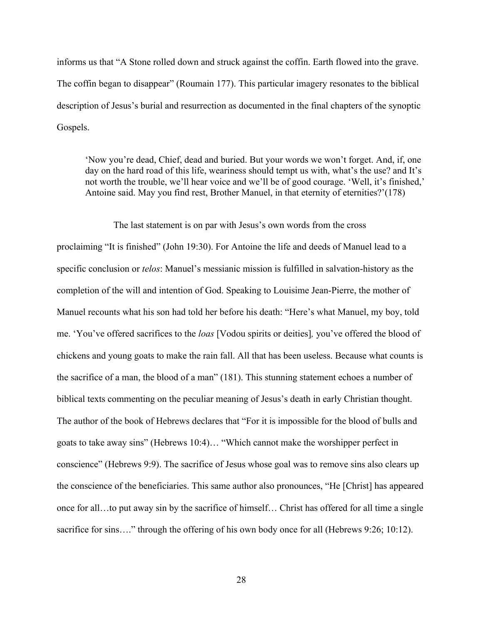informs us that "A Stone rolled down and struck against the coffin. Earth flowed into the grave. The coffin began to disappear" (Roumain 177). This particular imagery resonates to the biblical description of Jesus's burial and resurrection as documented in the final chapters of the synoptic Gospels.

'Now you're dead, Chief, dead and buried. But your words we won't forget. And, if, one day on the hard road of this life, weariness should tempt us with, what's the use? and It's not worth the trouble, we'll hear voice and we'll be of good courage. 'Well, it's finished,' Antoine said. May you find rest, Brother Manuel, in that eternity of eternities?'(178)

#### The last statement is on par with Jesus's own words from the cross

proclaiming "It is finished" (John 19:30). For Antoine the life and deeds of Manuel lead to a specific conclusion or *telos*: Manuel's messianic mission is fulfilled in salvation-history as the completion of the will and intention of God. Speaking to Louisime Jean-Pierre, the mother of Manuel recounts what his son had told her before his death: "Here's what Manuel, my boy, told me. 'You've offered sacrifices to the *loas* [Vodou spirits or deities]*,* you've offered the blood of chickens and young goats to make the rain fall. All that has been useless. Because what counts is the sacrifice of a man, the blood of a man" (181). This stunning statement echoes a number of biblical texts commenting on the peculiar meaning of Jesus's death in early Christian thought. The author of the book of Hebrews declares that "For it is impossible for the blood of bulls and goats to take away sins" (Hebrews 10:4)… "Which cannot make the worshipper perfect in conscience" (Hebrews 9:9). The sacrifice of Jesus whose goal was to remove sins also clears up the conscience of the beneficiaries. This same author also pronounces, "He [Christ] has appeared once for all…to put away sin by the sacrifice of himself… Christ has offered for all time a single sacrifice for sins...." through the offering of his own body once for all (Hebrews 9:26; 10:12).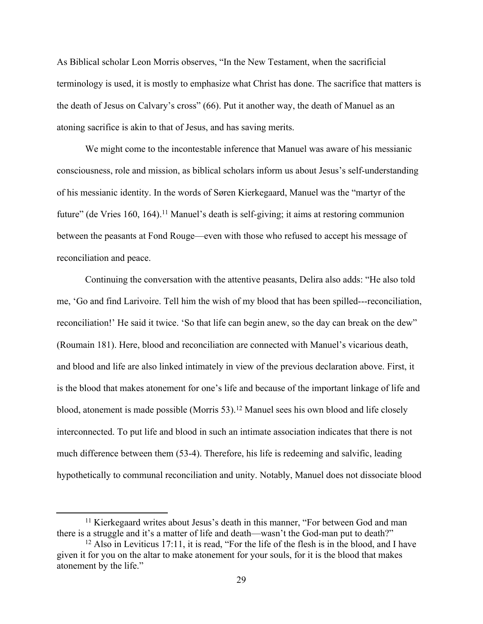As Biblical scholar Leon Morris observes, "In the New Testament, when the sacrificial terminology is used, it is mostly to emphasize what Christ has done. The sacrifice that matters is the death of Jesus on Calvary's cross" (66). Put it another way, the death of Manuel as an atoning sacrifice is akin to that of Jesus, and has saving merits.

We might come to the incontestable inference that Manuel was aware of his messianic consciousness, role and mission, as biblical scholars inform us about Jesus's self-understanding of his messianic identity. In the words of Søren Kierkegaard, Manuel was the "martyr of the future" (de Vries 160, 164).<sup>11</sup> Manuel's death is self-giving; it aims at restoring communion between the peasants at Fond Rouge—even with those who refused to accept his message of reconciliation and peace.

Continuing the conversation with the attentive peasants, Delira also adds: "He also told me, 'Go and find Larivoire. Tell him the wish of my blood that has been spilled---reconciliation, reconciliation!' He said it twice. 'So that life can begin anew, so the day can break on the dew" (Roumain 181). Here, blood and reconciliation are connected with Manuel's vicarious death, and blood and life are also linked intimately in view of the previous declaration above. First, it is the blood that makes atonement for one's life and because of the important linkage of life and blood, atonement is made possible (Morris 53).<sup>12</sup> Manuel sees his own blood and life closely interconnected. To put life and blood in such an intimate association indicates that there is not much difference between them (53-4). Therefore, his life is redeeming and salvific, leading hypothetically to communal reconciliation and unity. Notably, Manuel does not dissociate blood

<sup>&</sup>lt;sup>11</sup> Kierkegaard writes about Jesus's death in this manner, "For between God and man there is a struggle and it's a matter of life and death—wasn't the God-man put to death?"

<sup>12</sup> Also in Leviticus 17:11, it is read, "For the life of the flesh is in the blood, and I have given it for you on the altar to make atonement for your souls, for it is the blood that makes atonement by the life."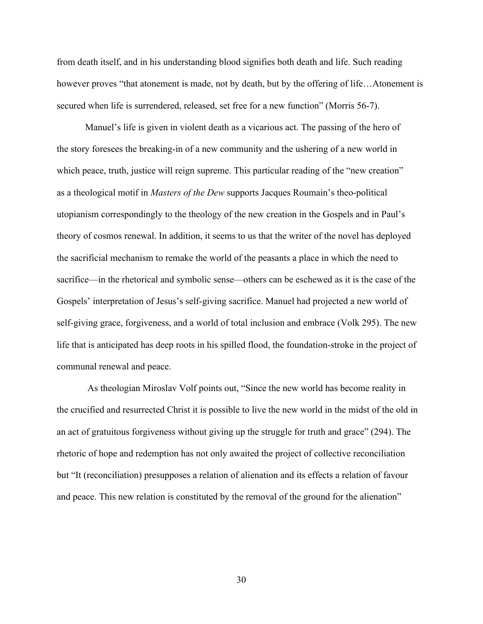from death itself, and in his understanding blood signifies both death and life. Such reading however proves "that atonement is made, not by death, but by the offering of life...Atonement is secured when life is surrendered, released, set free for a new function" (Morris 56-7).

Manuel's life is given in violent death as a vicarious act. The passing of the hero of the story foresees the breaking-in of a new community and the ushering of a new world in which peace, truth, justice will reign supreme. This particular reading of the "new creation" as a theological motif in *Masters of the Dew* supports Jacques Roumain's theo-political utopianism correspondingly to the theology of the new creation in the Gospels and in Paul's theory of cosmos renewal. In addition, it seems to us that the writer of the novel has deployed the sacrificial mechanism to remake the world of the peasants a place in which the need to sacrifice—in the rhetorical and symbolic sense—others can be eschewed as it is the case of the Gospels' interpretation of Jesus's self-giving sacrifice. Manuel had projected a new world of self-giving grace, forgiveness, and a world of total inclusion and embrace (Volk 295). The new life that is anticipated has deep roots in his spilled flood, the foundation-stroke in the project of communal renewal and peace.

 As theologian Miroslav Volf points out, "Since the new world has become reality in the crucified and resurrected Christ it is possible to live the new world in the midst of the old in an act of gratuitous forgiveness without giving up the struggle for truth and grace" (294). The rhetoric of hope and redemption has not only awaited the project of collective reconciliation but "It (reconciliation) presupposes a relation of alienation and its effects a relation of favour and peace. This new relation is constituted by the removal of the ground for the alienation"

30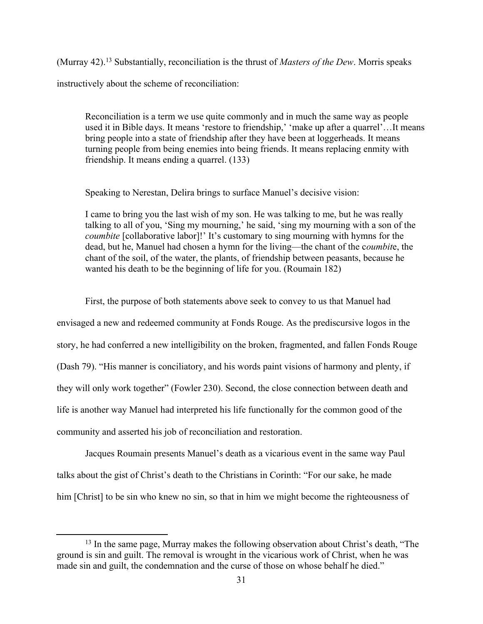(Murray 42).<sup>13</sup> Substantially, reconciliation is the thrust of *Masters of the Dew*. Morris speaks instructively about the scheme of reconciliation:

Reconciliation is a term we use quite commonly and in much the same way as people used it in Bible days. It means 'restore to friendship,' 'make up after a quarrel'...It means bring people into a state of friendship after they have been at loggerheads. It means turning people from being enemies into being friends. It means replacing enmity with friendship. It means ending a quarrel. (133)

Speaking to Nerestan, Delira brings to surface Manuel's decisive vision:

I came to bring you the last wish of my son. He was talking to me, but he was really talking to all of you, 'Sing my mourning,' he said, 'sing my mourning with a son of the *coumbite* [collaborative labor]!' It's customary to sing mourning with hymns for the dead, but he, Manuel had chosen a hymn for the living—the chant of the c*oumbit*e, the chant of the soil, of the water, the plants, of friendship between peasants, because he wanted his death to be the beginning of life for you. (Roumain 182)

First, the purpose of both statements above seek to convey to us that Manuel had envisaged a new and redeemed community at Fonds Rouge. As the prediscursive logos in the story, he had conferred a new intelligibility on the broken, fragmented, and fallen Fonds Rouge (Dash 79). "His manner is conciliatory, and his words paint visions of harmony and plenty, if they will only work together" (Fowler 230). Second, the close connection between death and life is another way Manuel had interpreted his life functionally for the common good of the community and asserted his job of reconciliation and restoration.

Jacques Roumain presents Manuel's death as a vicarious event in the same way Paul talks about the gist of Christ's death to the Christians in Corinth: "For our sake, he made him [Christ] to be sin who knew no sin, so that in him we might become the righteousness of

<sup>13</sup> In the same page, Murray makes the following observation about Christ's death, "The ground is sin and guilt. The removal is wrought in the vicarious work of Christ, when he was made sin and guilt, the condemnation and the curse of those on whose behalf he died."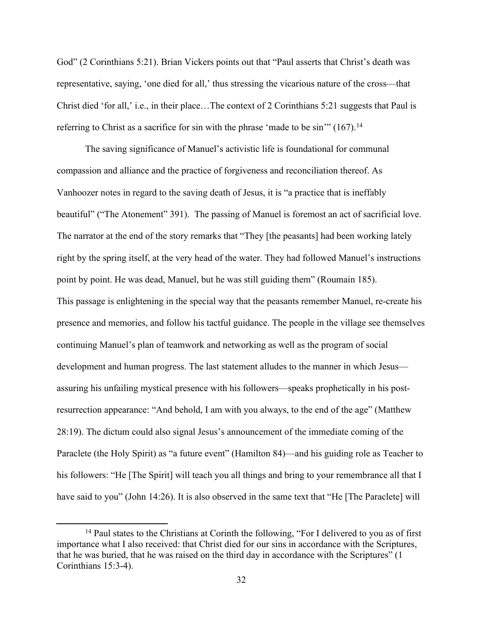God" (2 Corinthians 5:21). Brian Vickers points out that "Paul asserts that Christ's death was representative, saying, 'one died for all,' thus stressing the vicarious nature of the cross—that Christ died 'for all,' i.e., in their place…The context of 2 Corinthians 5:21 suggests that Paul is referring to Christ as a sacrifice for sin with the phrase 'made to be sin'" (167).<sup>14</sup>

The saving significance of Manuel's activistic life is foundational for communal compassion and alliance and the practice of forgiveness and reconciliation thereof. As Vanhoozer notes in regard to the saving death of Jesus, it is "a practice that is ineffably beautiful" ("The Atonement" 391). The passing of Manuel is foremost an act of sacrificial love. The narrator at the end of the story remarks that "They [the peasants] had been working lately right by the spring itself, at the very head of the water. They had followed Manuel's instructions point by point. He was dead, Manuel, but he was still guiding them" (Roumain 185). This passage is enlightening in the special way that the peasants remember Manuel, re-create his presence and memories, and follow his tactful guidance. The people in the village see themselves continuing Manuel's plan of teamwork and networking as well as the program of social development and human progress. The last statement alludes to the manner in which Jesus assuring his unfailing mystical presence with his followers—speaks prophetically in his postresurrection appearance: "And behold, I am with you always, to the end of the age" (Matthew 28:19). The dictum could also signal Jesus's announcement of the immediate coming of the Paraclete (the Holy Spirit) as "a future event" (Hamilton 84)—and his guiding role as Teacher to his followers: "He [The Spirit] will teach you all things and bring to your remembrance all that I have said to you" (John 14:26). It is also observed in the same text that "He [The Paraclete] will

<sup>&</sup>lt;sup>14</sup> Paul states to the Christians at Corinth the following, "For I delivered to you as of first importance what I also received: that Christ died for our sins in accordance with the Scriptures, that he was buried, that he was raised on the third day in accordance with the Scriptures" (1 Corinthians 15:3-4).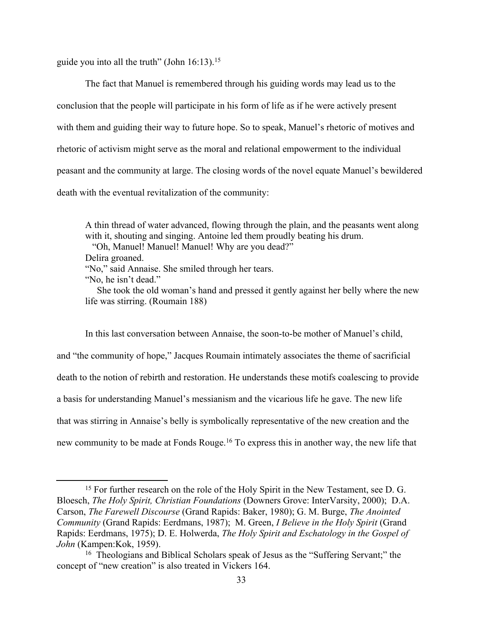guide you into all the truth" (John  $16:13$ ).<sup>15</sup>

The fact that Manuel is remembered through his guiding words may lead us to the conclusion that the people will participate in his form of life as if he were actively present with them and guiding their way to future hope. So to speak, Manuel's rhetoric of motives and rhetoric of activism might serve as the moral and relational empowerment to the individual peasant and the community at large. The closing words of the novel equate Manuel's bewildered death with the eventual revitalization of the community:

A thin thread of water advanced, flowing through the plain, and the peasants went along with it, shouting and singing. Antoine led them proudly beating his drum.

"Oh, Manuel! Manuel! Manuel! Why are you dead?"

Delira groaned.

"No," said Annaise. She smiled through her tears.

 She took the old woman's hand and pressed it gently against her belly where the new life was stirring. (Roumain 188)

In this last conversation between Annaise, the soon-to-be mother of Manuel's child, and "the community of hope," Jacques Roumain intimately associates the theme of sacrificial death to the notion of rebirth and restoration. He understands these motifs coalescing to provide a basis for understanding Manuel's messianism and the vicarious life he gave. The new life that was stirring in Annaise's belly is symbolically representative of the new creation and the new community to be made at Fonds Rouge.<sup>16</sup> To express this in another way, the new life that

<sup>&</sup>quot;No, he isn't dead."

<sup>&</sup>lt;sup>15</sup> For further research on the role of the Holy Spirit in the New Testament, see D. G. Bloesch, *The Holy Spirit, Christian Foundations* (Downers Grove: InterVarsity, 2000); D.A. Carson, *The Farewell Discourse* (Grand Rapids: Baker, 1980); G. M. Burge, *The Anointed Community* (Grand Rapids: Eerdmans, 1987); M. Green, *I Believe in the Holy Spirit* (Grand Rapids: Eerdmans, 1975); D. E. Holwerda, *The Holy Spirit and Eschatology in the Gospel of John* (Kampen:Kok, 1959).

<sup>16</sup> Theologians and Biblical Scholars speak of Jesus as the "Suffering Servant;" the concept of "new creation" is also treated in Vickers 164.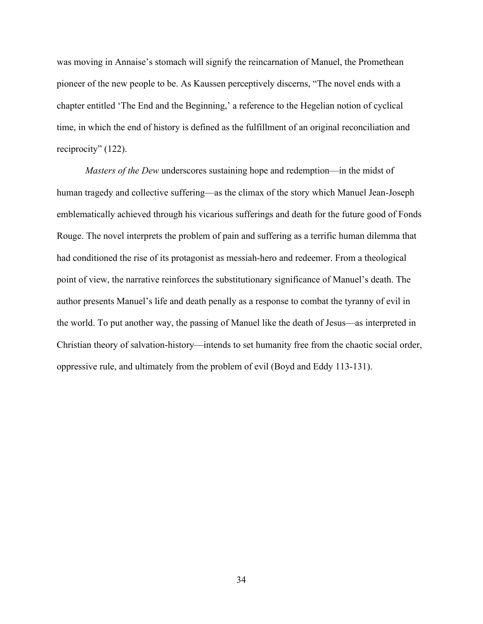was moving in Annaise's stomach will signify the reincarnation of Manuel, the Promethean pioneer of the new people to be. As Kaussen perceptively discerns, "The novel ends with a chapter entitled 'The End and the Beginning,' a reference to the Hegelian notion of cyclical time, in which the end of history is defined as the fulfillment of an original reconciliation and reciprocity" (122).

*Masters of the Dew* underscores sustaining hope and redemption—in the midst of human tragedy and collective suffering—as the climax of the story which Manuel Jean-Joseph emblematically achieved through his vicarious sufferings and death for the future good of Fonds Rouge. The novel interprets the problem of pain and suffering as a terrific human dilemma that had conditioned the rise of its protagonist as messiah-hero and redeemer. From a theological point of view, the narrative reinforces the substitutionary significance of Manuel's death. The author presents Manuel's life and death penally as a response to combat the tyranny of evil in the world. To put another way, the passing of Manuel like the death of Jesus—as interpreted in Christian theory of salvation-history—intends to set humanity free from the chaotic social order, oppressive rule, and ultimately from the problem of evil (Boyd and Eddy 113-131).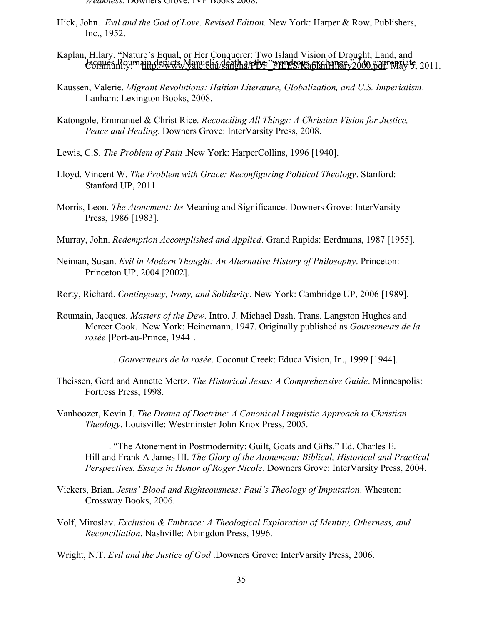- *Weakness.* Downers Grove: IVP Books 2008.
- Hick, John. *Evil and the God of Love. Revised Edition.* New York: Harper & Row, Publishers, Inc., 1952.
- Jacques Roumain depicts Manuelia death as the "wondrous exchange,"17 to appropriate, 2011. Kaplan**,** Hilary. "Nature's Equal, or Her Conquerer: Two Island Vision of Drought, Land, and
- Kaussen, Valerie. *Migrant Revolutions: Haitian Literature, Globalization, and U.S. Imperialism*. Lanham: Lexington Books, 2008.
- Katongole, Emmanuel & Christ Rice. *Reconciling All Things: A Christian Vision for Justice, Peace and Healing*. Downers Grove: InterVarsity Press, 2008.
- Lewis, C.S. *The Problem of Pain* .New York: HarperCollins, 1996 [1940].
- Lloyd, Vincent W. *The Problem with Grace: Reconfiguring Political Theology*. Stanford: Stanford UP, 2011.
- Morris, Leon. *The Atonement: Its* Meaning and Significance. Downers Grove: InterVarsity Press, 1986 [1983].
- Murray, John. *Redemption Accomplished and Applied*. Grand Rapids: Eerdmans, 1987 [1955].
- Neiman, Susan. *Evil in Modern Thought: An Alternative History of Philosophy*. Princeton: Princeton UP, 2004 [2002].
- Rorty, Richard. *Contingency, Irony, and Solidarity*. New York: Cambridge UP, 2006 [1989].
- Roumain, Jacques. *Masters of the Dew*. Intro. J. Michael Dash. Trans. Langston Hughes and Mercer Cook. New York: Heinemann, 1947. Originally published as *Gouverneurs de la rosée* [Port-au-Prince, 1944].
	- \_\_\_\_\_\_\_\_\_\_\_\_. *Gouverneurs de la rosée*. Coconut Creek: Educa Vision, In., 1999 [1944].
- Theissen, Gerd and Annette Mertz. *The Historical Jesus: A Comprehensive Guide*. Minneapolis: Fortress Press, 1998.
- Vanhoozer, Kevin J. *The Drama of Doctrine: A Canonical Linguistic Approach to Christian Theology*. Louisville: Westminster John Knox Press, 2005.

\_\_\_\_\_\_\_\_\_\_\_. "The Atonement in Postmodernity: Guilt, Goats and Gifts." Ed. Charles E. Hill and Frank A James III. *The Glory of the Atonement: Biblical, Historical and Practical Perspectives. Essays in Honor of Roger Nicole*. Downers Grove: InterVarsity Press, 2004.

- Vickers, Brian. *Jesus' Blood and Righteousness: Paul's Theology of Imputation*. Wheaton: Crossway Books, 2006.
- Volf, Miroslav. *Exclusion & Embrace: A Theological Exploration of Identity, Otherness, and Reconciliation*. Nashville: Abingdon Press, 1996.
- Wright, N.T. *Evil and the Justice of God* .Downers Grove: InterVarsity Press, 2006.